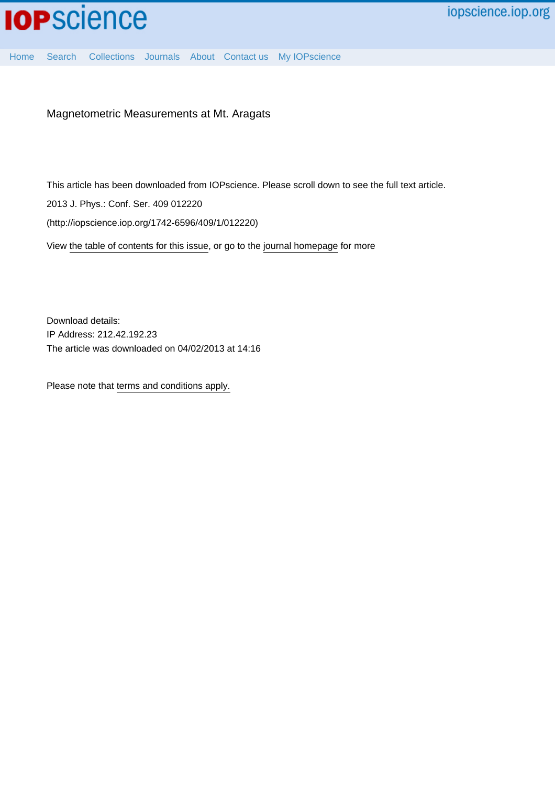[Home](http://iopscience.iop.org/) [Search](http://iopscience.iop.org/search) [Collections](http://iopscience.iop.org/collections) [Journals](http://iopscience.iop.org/journals) [About](http://iopscience.iop.org/page/aboutioppublishing) [Contact us](http://iopscience.iop.org/contact) [My IOPscience](http://iopscience.iop.org/myiopscience)

Magnetometric Measurements at Mt. Aragats

This article has been downloaded from IOPscience. Please scroll down to see the full text article.

2013 J. Phys.: Conf. Ser. 409 012220

(http://iopscience.iop.org/1742-6596/409/1/012220)

View [the table of contents for this issue](http://iopscience.iop.org/1742-6596/409/1), or go to the [journal homepage](http://iopscience.iop.org/1742-6596) for more

Download details: IP Address: 212.42.192.23 The article was downloaded on 04/02/2013 at 14:16

Please note that [terms and conditions apply.](http://iopscience.iop.org/page/terms)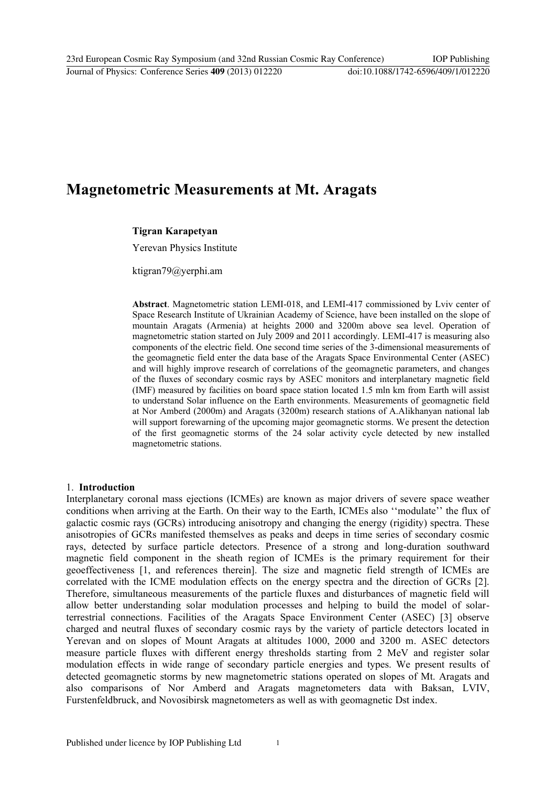# **Magnetometric Measurements at Mt. Aragats**

#### **Tigran Karapetyan**

Yerevan Physics Institute

ktigran79@yerphi.am

**Abstract**. Magnetometric station LEMI-018, and LEMI-417 commissioned by Lviv center of Space Research Institute of Ukrainian Academy of Science, have been installed on the slope of mountain Aragats (Armenia) at heights 2000 and 3200m above sea level. Operation of magnetometric station started on July 2009 and 2011 accordingly. LEMI-417 is measuring also components of the electric field. One second time series of the 3-dimensional measurements of the geomagnetic field enter the data base of the Aragats Space Environmental Center (ASEC) and will highly improve research of correlations of the geomagnetic parameters, and changes of the fluxes of secondary cosmic rays by ASEC monitors and interplanetary magnetic field (IMF) measured by facilities on board space station located 1.5 mln km from Earth will assist to understand Solar influence on the Earth environments. Measurements of geomagnetic field at Nor Amberd (2000m) and Aragats (3200m) research stations of A.Alikhanyan national lab will support forewarning of the upcoming major geomagnetic storms. We present the detection of the first geomagnetic storms of the 24 solar activity cycle detected by new installed magnetometric stations.

#### 1. **Introduction**

Interplanetary coronal mass ejections (ICMEs) are known as major drivers of severe space weather conditions when arriving at the Earth. On their way to the Earth, ICMEs also ""modulate"" the flux of galactic cosmic rays (GCRs) introducing anisotropy and changing the energy (rigidity) spectra. These anisotropies of GCRs manifested themselves as peaks and deeps in time series of secondary cosmic rays, detected by surface particle detectors. Presence of a strong and long-duration southward magnetic field component in the sheath region of ICMEs is the primary requirement for their geoeffectiveness [1, and references therein]. The size and magnetic field strength of ICMEs are correlated with the ICME modulation effects on the energy spectra and the direction of GCRs [2]. Therefore, simultaneous measurements of the particle fluxes and disturbances of magnetic field will allow better understanding solar modulation processes and helping to build the model of solarterrestrial connections. Facilities of the Aragats Space Environment Center (ASEC) [3] observe charged and neutral fluxes of secondary cosmic rays by the variety of particle detectors located in Yerevan and on slopes of Mount Aragats at altitudes 1000, 2000 and 3200 m. ASEC detectors measure particle fluxes with different energy thresholds starting from 2 MeV and register solar modulation effects in wide range of secondary particle energies and types. We present results of detected geomagnetic storms by new magnetometric stations operated on slopes of Mt. Aragats and also comparisons of Nor Amberd and Aragats magnetometers data with Baksan, LVIV, Furstenfeldbruck, and Novosibirsk magnetometers as well as with geomagnetic Dst index.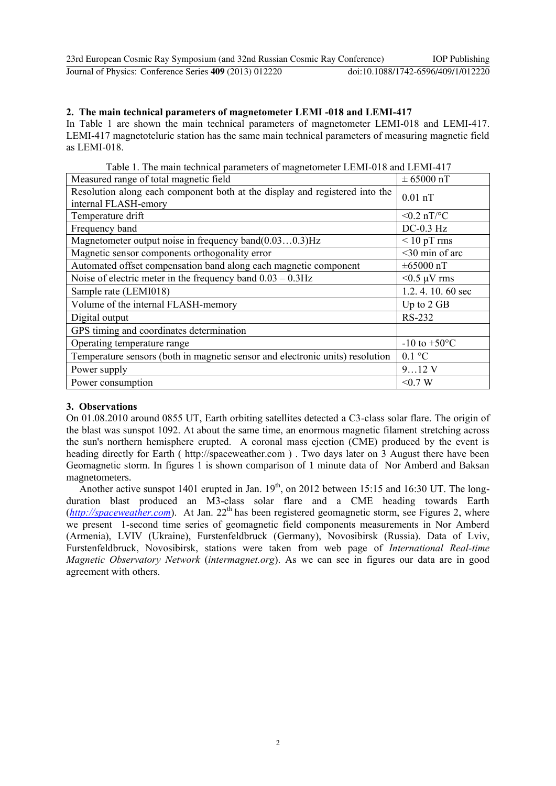| 23rd European Cosmic Ray Symposium (and 32nd Russian Cosmic Ray Conference) |                                    | <b>IOP</b> Publishing |
|-----------------------------------------------------------------------------|------------------------------------|-----------------------|
| Journal of Physics: Conference Series 409 (2013) 012220                     | doi:10.1088/1742-6596/409/1/012220 |                       |

### **2. The main technical parameters of magnetometer LEMI -018 and LEMI-417**

In Table 1 are shown the main technical parameters of magnetometer LEMI-018 and LEMI-417. LEMI-417 magnetoteluric station has the same main technical parameters of measuring magnetic field as LEMI-018.

Table 1. The main technical parameters of magnetometer LEMI-018 and LEMI-417

| Measured range of total magnetic field                                                              | $\pm 65000$ nT           |
|-----------------------------------------------------------------------------------------------------|--------------------------|
| Resolution along each component both at the display and registered into the<br>internal FLASH-emory | $0.01$ nT                |
| Temperature drift                                                                                   | $< 0.2$ nT/°C            |
| Frequency band                                                                                      | $DC-0.3$ Hz              |
| Magnetometer output noise in frequency band $(0.030.3)$ Hz                                          | $<$ 10 pT rms            |
| Magnetic sensor components orthogonality error                                                      | $<$ 30 min of arc        |
| Automated offset compensation band along each magnetic component                                    | $\pm 65000$ nT           |
| Noise of electric meter in the frequency band $0.03 - 0.3$ Hz                                       | $<$ 0.5 µV rms           |
| Sample rate (LEMI018)                                                                               | 1.2.4.10.60 sec          |
| Volume of the internal FLASH-memory                                                                 | Up to 2 GB               |
| Digital output                                                                                      | RS-232                   |
| GPS timing and coordinates determination                                                            |                          |
| Operating temperature range                                                                         | $-10$ to $+50^{\circ}$ C |
| Temperature sensors (both in magnetic sensor and electronic units) resolution                       | $0.1 \degree C$          |
| Power supply                                                                                        | 912V                     |
| Power consumption                                                                                   | < 0.7 W                  |

#### **3. Observations**

On 01.08.2010 around 0855 UT, Earth orbiting satellites detected a C3-class solar flare. The origin of the blast was sunspot 1092. At about the same time, an enormous magnetic filament stretching across the sun's northern hemisphere erupted. A coronal mass ejection (CME) produced by the event is heading directly for Earth ( http://spaceweather.com ) . Two days later on 3 August there have been Geomagnetic storm. In figures 1 is shown comparison of 1 minute data of Nor Amberd and Baksan magnetometers.

Another active sunspot 1401 erupted in Jan.  $19<sup>th</sup>$ , on 2012 between 15:15 and 16:30 UT. The longduration blast produced an M3-class solar flare and a CME heading towards Earth  $(http://spaceweather.com)$  $(http://spaceweather.com)$  $(http://spaceweather.com)$ . At Jan. 22<sup>th</sup> has been registered geomagnetic storm, see Figures 2, where we present 1-second time series of geomagnetic field components measurements in Nor Amberd (Armenia), LVIV (Ukraine), Furstenfeldbruck (Germany), Novosibirsk (Russia). Data of Lviv, Furstenfeldbruck, Novosibirsk, stations were taken from web page of *International Real-time Magnetic Observatory Network* (*intermagnet.org*). As we can see in figures our data are in good agreement with others.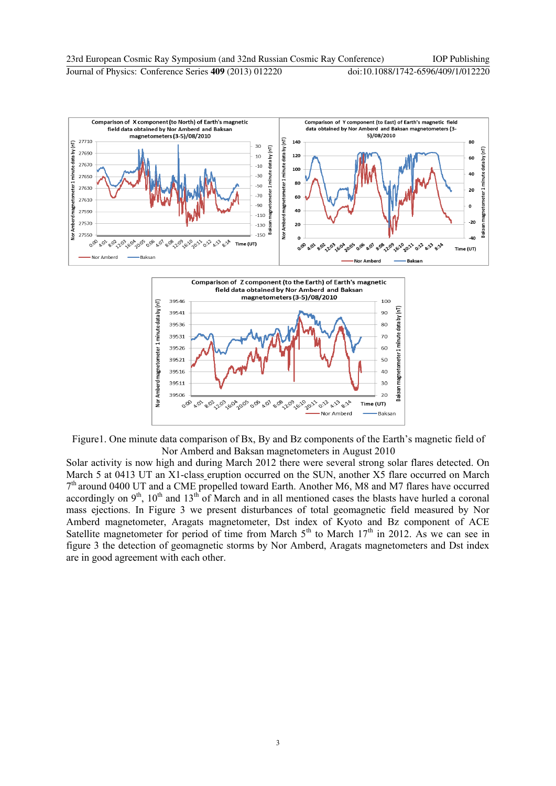



Figure 1. One minute data comparison of Bx, By and Bz components of the Earth's magnetic field of Nor Amberd and Baksan magnetometers in August 2010

Solar activity is now high and during March 2012 there were several strong solar flares detected. On March 5 at 0413 UT an X1-class eruption occurred on the SUN, another X5 flare occurred on March 7<sup>th</sup> around 0400 UT and a CME propelled toward Earth. Another M6, M8 and M7 flares have occurred accordingly on  $9<sup>th</sup>$ ,  $10<sup>th</sup>$  and  $13<sup>th</sup>$  of March and in all mentioned cases the blasts have hurled a coronal mass ejections. In Figure 3 we present disturbances of total geomagnetic field measured by Nor Amberd magnetometer, Aragats magnetometer, Dst index of Kyoto and Bz component of ACE Satellite magnetometer for period of time from March  $5<sup>th</sup>$  to March  $17<sup>th</sup>$  in 2012. As we can see in figure 3 the detection of geomagnetic storms by Nor Amberd, Aragats magnetometers and Dst index are in good agreement with each other.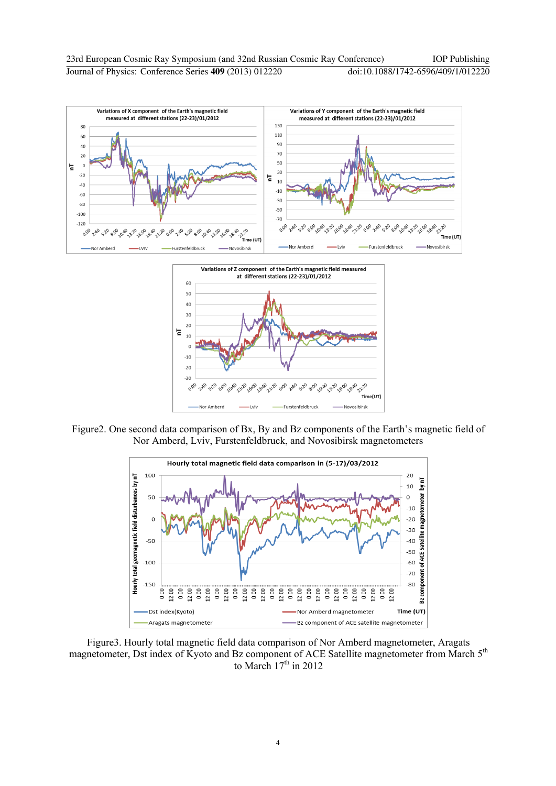



Figure2. One second data comparison of Bx, By and Bz components of the Earth"s magnetic field of Nor Amberd, Lviv, Furstenfeldbruck, and Novosibirsk magnetometers



Figure3. Hourly total magnetic field data comparison of Nor Amberd magnetometer, Aragats magnetometer, Dst index of Kyoto and Bz component of ACE Satellite magnetometer from March 5<sup>th</sup> to March  $17<sup>th</sup>$  in 2012